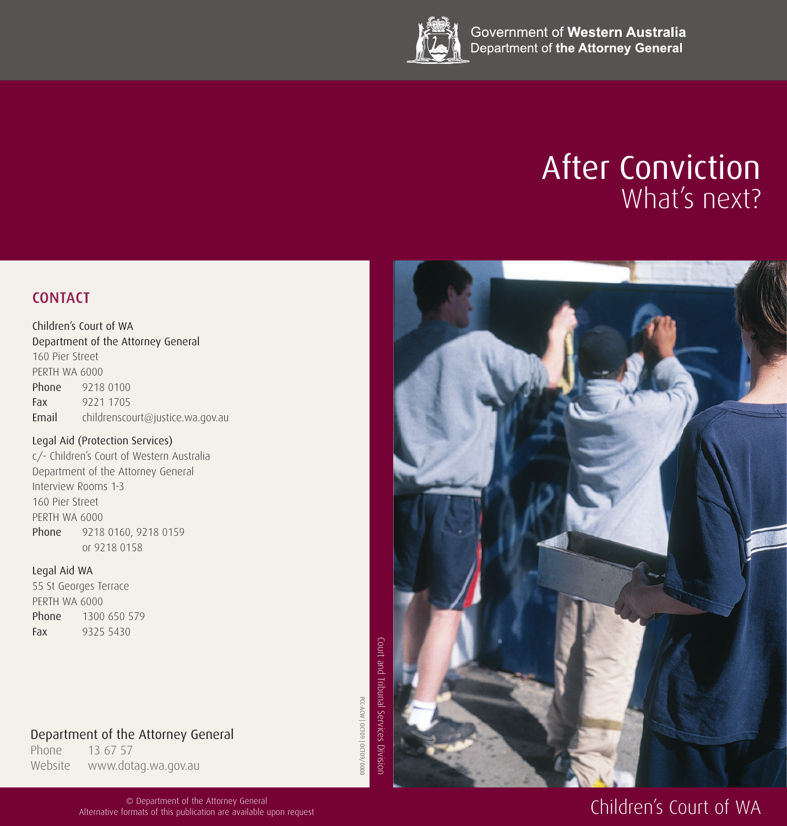

Government of Western Australia Department of the Attorney General

# After Conviction What's next?



Children's Court of WA Department of the Attorney General 160 Pier Street PERTH WA 6000 Phone 9218 0100 Fax 9221 1705 Email childrenscourt@justice.wa.gov.au

### Legal Aid (Protection Services)

c/- Children's Court of Western Australia Department of the Attorney General Interview Rooms 1-3 160 Pier Street PERTH WA 6000 Phone 9218 0160, 9218 0159 or 9218 0158

#### Legal Aid WA

55 St Georges Terrace PERTH WA 6000 Phone 1300 650 579 Fax 9325 5430

PCC-ACW | OCT09 | OCT09/0000



Phone 13 67 57 Website www.dotag.wa.gov.au

> © Department of the Attorney General Alternative formats of this publication are available upon request



# Children's Court of WA